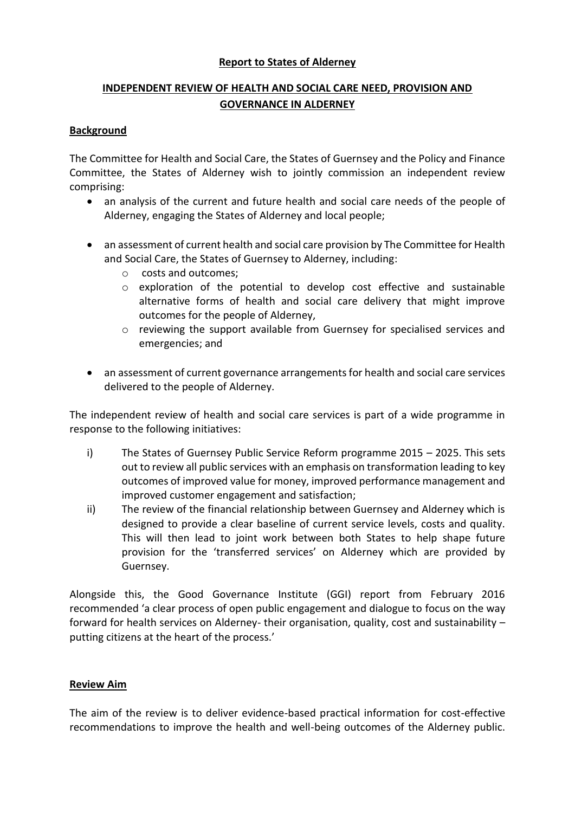## **Report to States of Alderney**

# **INDEPENDENT REVIEW OF HEALTH AND SOCIAL CARE NEED, PROVISION AND GOVERNANCE IN ALDERNEY**

## **Background**

The Committee for Health and Social Care, the States of Guernsey and the Policy and Finance Committee, the States of Alderney wish to jointly commission an independent review comprising:

- an analysis of the current and future health and social care needs of the people of Alderney, engaging the States of Alderney and local people;
- an assessment of current health and social care provision by The Committee for Health and Social Care, the States of Guernsey to Alderney, including:
	- o costs and outcomes;
	- o exploration of the potential to develop cost effective and sustainable alternative forms of health and social care delivery that might improve outcomes for the people of Alderney,
	- o reviewing the support available from Guernsey for specialised services and emergencies; and
- an assessment of current governance arrangements for health and social care services delivered to the people of Alderney.

The independent review of health and social care services is part of a wide programme in response to the following initiatives:

- i) The States of Guernsey Public Service Reform programme 2015 2025. This sets out to review all public services with an emphasis on transformation leading to key outcomes of improved value for money, improved performance management and improved customer engagement and satisfaction;
- ii) The review of the financial relationship between Guernsey and Alderney which is designed to provide a clear baseline of current service levels, costs and quality. This will then lead to joint work between both States to help shape future provision for the 'transferred services' on Alderney which are provided by Guernsey.

Alongside this, the Good Governance Institute (GGI) report from February 2016 recommended 'a clear process of open public engagement and dialogue to focus on the way forward for health services on Alderney- their organisation, quality, cost and sustainability – putting citizens at the heart of the process.'

## **Review Aim**

The aim of the review is to deliver evidence-based practical information for cost-effective recommendations to improve the health and well-being outcomes of the Alderney public.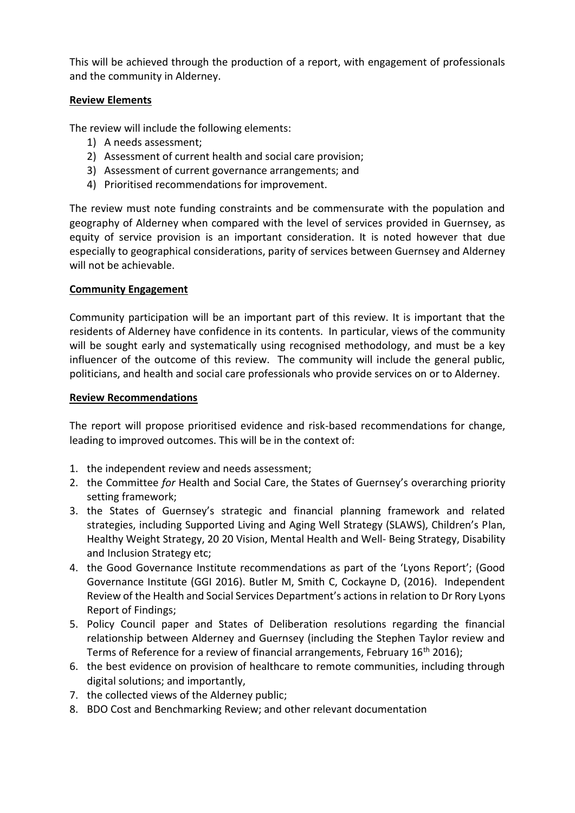This will be achieved through the production of a report, with engagement of professionals and the community in Alderney.

## **Review Elements**

The review will include the following elements:

- 1) A needs assessment;
- 2) Assessment of current health and social care provision;
- 3) Assessment of current governance arrangements; and
- 4) Prioritised recommendations for improvement.

The review must note funding constraints and be commensurate with the population and geography of Alderney when compared with the level of services provided in Guernsey, as equity of service provision is an important consideration. It is noted however that due especially to geographical considerations, parity of services between Guernsey and Alderney will not be achievable.

## **Community Engagement**

Community participation will be an important part of this review. It is important that the residents of Alderney have confidence in its contents. In particular, views of the community will be sought early and systematically using recognised methodology, and must be a key influencer of the outcome of this review. The community will include the general public, politicians, and health and social care professionals who provide services on or to Alderney.

#### **Review Recommendations**

The report will propose prioritised evidence and risk-based recommendations for change, leading to improved outcomes. This will be in the context of:

- 1. the independent review and needs assessment;
- 2. the Committee *for* Health and Social Care, the States of Guernsey's overarching priority setting framework;
- 3. the States of Guernsey's strategic and financial planning framework and related strategies, including Supported Living and Aging Well Strategy (SLAWS), Children's Plan, Healthy Weight Strategy, 20 20 Vision, Mental Health and Well- Being Strategy, Disability and Inclusion Strategy etc;
- 4. the Good Governance Institute recommendations as part of the 'Lyons Report'; (Good Governance Institute (GGI 2016). Butler M, Smith C, Cockayne D, (2016). Independent Review of the Health and Social Services Department's actions in relation to Dr Rory Lyons Report of Findings;
- 5. Policy Council paper and States of Deliberation resolutions regarding the financial relationship between Alderney and Guernsey (including the Stephen Taylor review and Terms of Reference for a review of financial arrangements, February 16<sup>th</sup> 2016);
- 6. the best evidence on provision of healthcare to remote communities, including through digital solutions; and importantly,
- 7. the collected views of the Alderney public;
- 8. BDO Cost and Benchmarking Review; and other relevant documentation